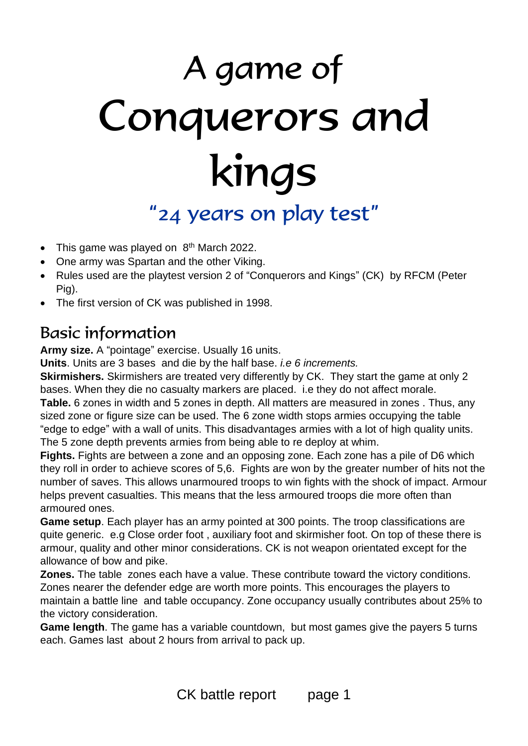# A game of Conquerors and kings "24 years on play test"

- This game was played on  $8<sup>th</sup>$  March 2022.
- One army was Spartan and the other Viking.
- Rules used are the playtest version 2 of "Conquerors and Kings" (CK) by RFCM (Peter Pig).
- The first version of CK was published in 1998.

# Basic information

**Army size.** A "pointage" exercise. Usually 16 units.

**Units**. Units are 3 bases and die by the half base. *i.e 6 increments.*

**Skirmishers.** Skirmishers are treated very differently by CK. They start the game at only 2 bases. When they die no casualty markers are placed. i.e they do not affect morale. **Table.** 6 zones in width and 5 zones in depth. All matters are measured in zones . Thus, any sized zone or figure size can be used. The 6 zone width stops armies occupying the table "edge to edge" with a wall of units. This disadvantages armies with a lot of high quality units. The 5 zone depth prevents armies from being able to re deploy at whim.

**Fights.** Fights are between a zone and an opposing zone. Each zone has a pile of D6 which they roll in order to achieve scores of 5,6. Fights are won by the greater number of hits not the number of saves. This allows unarmoured troops to win fights with the shock of impact. Armour helps prevent casualties. This means that the less armoured troops die more often than armoured ones.

**Game setup**. Each player has an army pointed at 300 points. The troop classifications are quite generic. e.g Close order foot , auxiliary foot and skirmisher foot. On top of these there is armour, quality and other minor considerations. CK is not weapon orientated except for the allowance of bow and pike.

**Zones.** The table zones each have a value. These contribute toward the victory conditions. Zones nearer the defender edge are worth more points. This encourages the players to maintain a battle line and table occupancy. Zone occupancy usually contributes about 25% to the victory consideration.

**Game length**. The game has a variable countdown, but most games give the payers 5 turns each. Games last about 2 hours from arrival to pack up.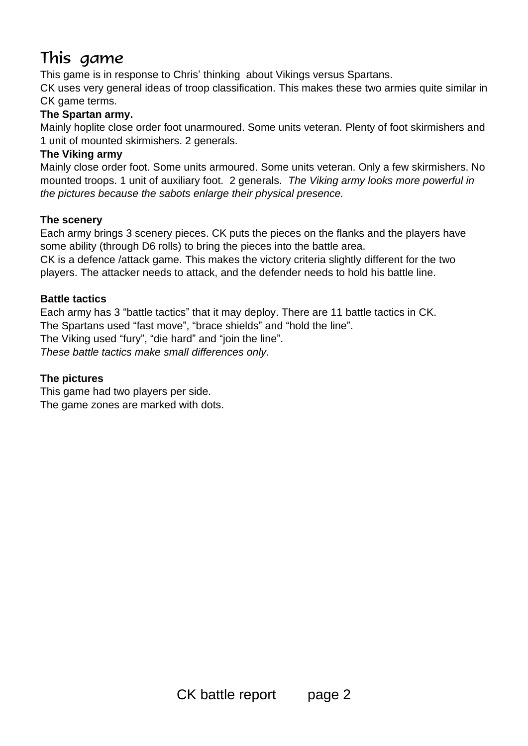# This game

This game is in response to Chris' thinking about Vikings versus Spartans.

CK uses very general ideas of troop classification. This makes these two armies quite similar in CK game terms.

# **The Spartan army.**

Mainly hoplite close order foot unarmoured. Some units veteran. Plenty of foot skirmishers and 1 unit of mounted skirmishers. 2 generals.

# **The Viking army**

Mainly close order foot. Some units armoured. Some units veteran. Only a few skirmishers. No mounted troops. 1 unit of auxiliary foot. 2 generals. *The Viking army looks more powerful in the pictures because the sabots enlarge their physical presence.*

# **The scenery**

Each army brings 3 scenery pieces. CK puts the pieces on the flanks and the players have some ability (through D6 rolls) to bring the pieces into the battle area.

CK is a defence /attack game. This makes the victory criteria slightly different for the two players. The attacker needs to attack, and the defender needs to hold his battle line.

# **Battle tactics**

Each army has 3 "battle tactics" that it may deploy. There are 11 battle tactics in CK. The Spartans used "fast move", "brace shields" and "hold the line". The Viking used "fury", "die hard" and "join the line". *These battle tactics make small differences only.*

# **The pictures**

This game had two players per side. The game zones are marked with dots.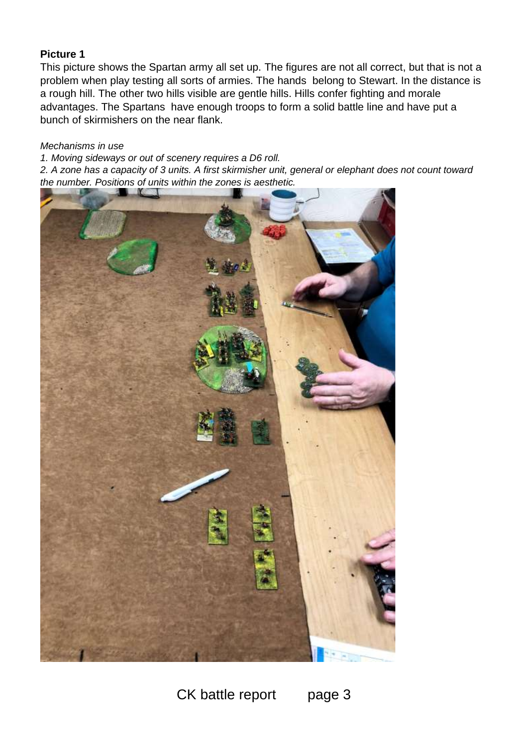This picture shows the Spartan army all set up. The figures are not all correct, but that is not a problem when play testing all sorts of armies. The hands belong to Stewart. In the distance is a rough hill. The other two hills visible are gentle hills. Hills confer fighting and morale advantages. The Spartans have enough troops to form a solid battle line and have put a bunch of skirmishers on the near flank.

#### *Mechanisms in use*

*1. Moving sideways or out of scenery requires a D6 roll. 2. A zone has a capacity of 3 units. A first skirmisher unit, general or elephant does not count toward the number. Positions of units within the zones is aesthetic.*

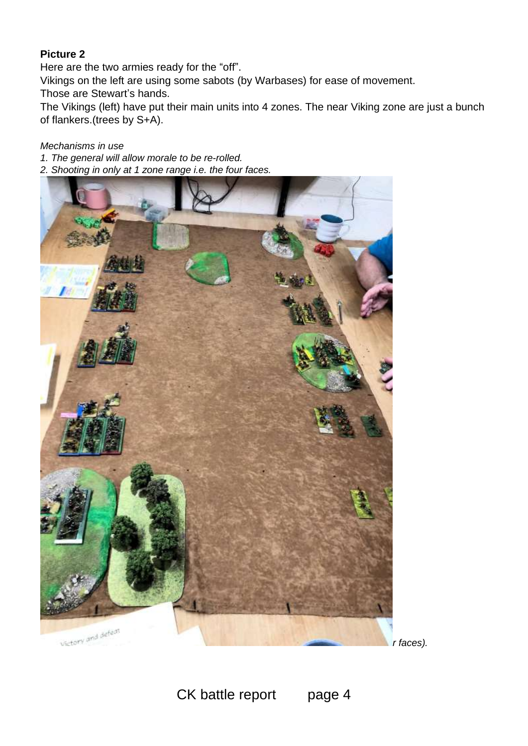Here are the two armies ready for the "off".

Vikings on the left are using some sabots (by Warbases) for ease of movement.

Those are Stewart's hands.

The Vikings (left) have put their main units into 4 zones. The near Viking zone are just a bunch of flankers.(trees by S+A).

# *Mechanisms in use*

- *1. The general will allow morale to be re-rolled.*
- *2. Shooting in only at 1 zone range i.e. the four faces.*

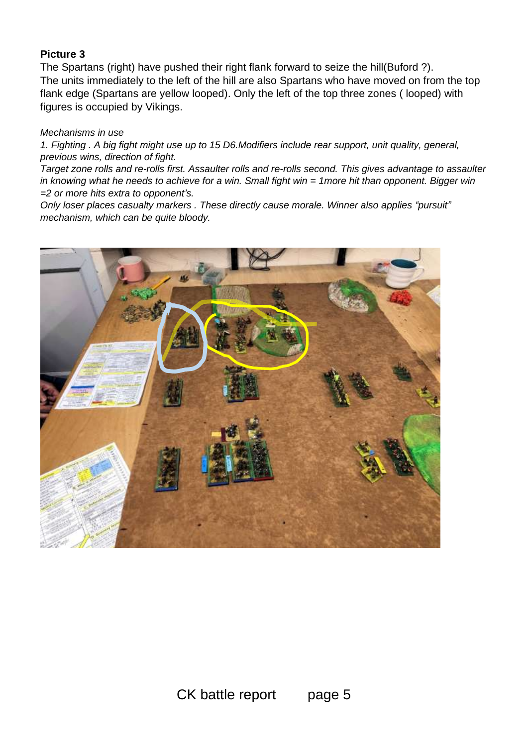The Spartans (right) have pushed their right flank forward to seize the hill(Buford ?). The units immediately to the left of the hill are also Spartans who have moved on from the top flank edge (Spartans are yellow looped). Only the left of the top three zones ( looped) with figures is occupied by Vikings.

#### *Mechanisms in use*

*1. Fighting . A big fight might use up to 15 D6.Modifiers include rear support, unit quality, general, previous wins, direction of fight.*

*Target zone rolls and re-rolls first. Assaulter rolls and re-rolls second. This gives advantage to assaulter in knowing what he needs to achieve for a win. Small fight win = 1more hit than opponent. Bigger win =2 or more hits extra to opponent's.*

*Only loser places casualty markers . These directly cause morale. Winner also applies "pursuit" mechanism, which can be quite bloody.*

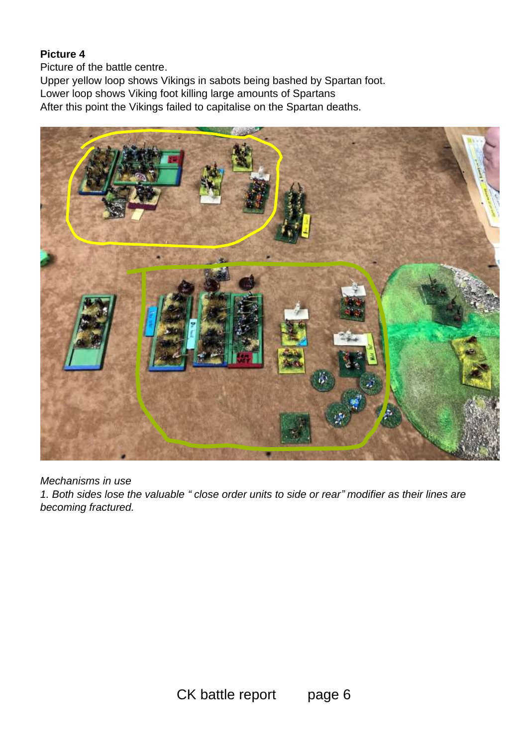Picture of the battle centre.

Upper yellow loop shows Vikings in sabots being bashed by Spartan foot. Lower loop shows Viking foot killing large amounts of Spartans After this point the Vikings failed to capitalise on the Spartan deaths.



*Mechanisms in use*

*1. Both sides lose the valuable " close order units to side or rear" modifier as their lines are becoming fractured.*